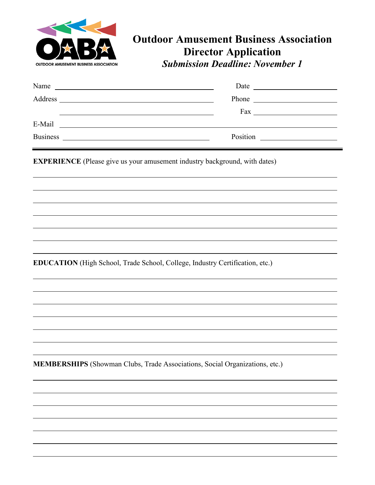

# **Outdoor Amusement Business Association Director Application** *Submission Deadline: November 1*

| Name                                                                                                                              | Date $\qquad \qquad$<br><u> 1980 - Andrea Stadt Britain, fransk politik (d. 1980)</u>                                                                                                                                                                    |
|-----------------------------------------------------------------------------------------------------------------------------------|----------------------------------------------------------------------------------------------------------------------------------------------------------------------------------------------------------------------------------------------------------|
| Address                                                                                                                           | <u> 1989 - Johann John Stein, fransk politik (d. 1989)</u>                                                                                                                                                                                               |
|                                                                                                                                   |                                                                                                                                                                                                                                                          |
| E-Mail<br><u> 1980 - Jan Samuel Barbara, margaret e populazion del control del control del control del control de la control </u> |                                                                                                                                                                                                                                                          |
| <b>Business</b>                                                                                                                   | Position<br><u> 1980 - Jan Stein Stein Stein Stein Stein Stein Stein Stein Stein Stein Stein Stein Stein Stein Stein Stein S</u><br><u> 1989 - Jan Barbara Barat, prima prima prima prima prima prima prima prima prima prima prima prima prima prim</u> |

**EXPERIENCE** (Please give us your amusement industry background, with dates)

**EDUCATION** (High School, Trade School, College, Industry Certification, etc.)

**MEMBERSHIPS** (Showman Clubs, Trade Associations, Social Organizations, etc.)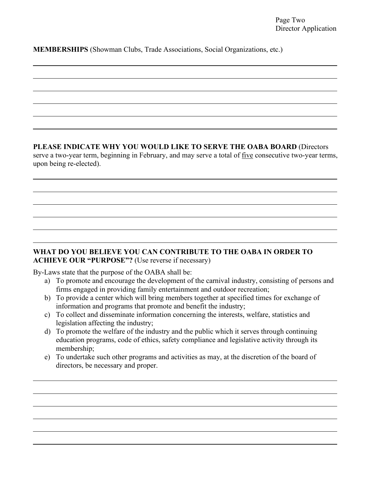### **MEMBERSHIPS** (Showman Clubs, Trade Associations, Social Organizations, etc.)

#### **PLEASE INDICATE WHY YOU WOULD LIKE TO SERVE THE OABA BOARD** (Directors

serve a two-year term, beginning in February, and may serve a total of five consecutive two-year terms, upon being re-elected).

## **WHAT DO YOU BELIEVE YOU CAN CONTRIBUTE TO THE OABA IN ORDER TO ACHIEVE OUR "PURPOSE"?** (Use reverse if necessary)

By-Laws state that the purpose of the OABA shall be:

- a) To promote and encourage the development of the carnival industry, consisting of persons and firms engaged in providing family entertainment and outdoor recreation;
- b) To provide a center which will bring members together at specified times for exchange of information and programs that promote and benefit the industry;
- c) To collect and disseminate information concerning the interests, welfare, statistics and legislation affecting the industry;
- d) To promote the welfare of the industry and the public which it serves through continuing education programs, code of ethics, safety compliance and legislative activity through its membership;
- e) To undertake such other programs and activities as may, at the discretion of the board of directors, be necessary and proper.